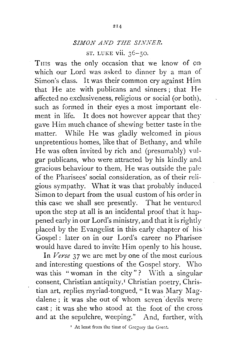# *SIMON AND THE SINNER.*

ST. LUKE vii. 36-50.

THIS was the only occasion that we know of on which our Lord was asked to dinner by a man of Simon's class. It was their common cry against Him that He ate with publicans and sinners; that He affected no exclusiveness, religious or social (or both), such as formed in their eyes a most important element in life. It does not however appear that they gave Him much chance of shewing better taste in the matter. While He was gladly welcomed in pious unpretentious homes, like that of Bethany, and while He was often invited by rich and (presumably) vulgar publicans, who were attracted by his kindly aml gracious behaviour to them, He was outside the pale of the Pharisees' social consideration, as of their religious sympathy. What it was that probably induced Simon to depart from the usual custom of his order in this case we shall see presently. That he ventured upon the step at all is an incidental proof that it happened early in our Lord's ministry, and that it is rightly placed by the Evangelist in this early chapter of his. Gospel: later on in our Lord's career no Pharisee would have dared to invite Him openly to his house.

In *Verse* 37 we are met by one of the most curious. and interesting questions of the Gospel story. Who was this "woman in the city"? With a singular consent, Christian antiquity,<sup>1</sup> Christian poetry, Christian art, replies myriad-tongued, "It was Mary Magdalene : it was she out of whom seven devils were  $cast:$  it was she who stood at the foot of the cross. and at the sepulchre, weeping." And, further, with

<sup>1</sup> At least from the time of Gregory the Great.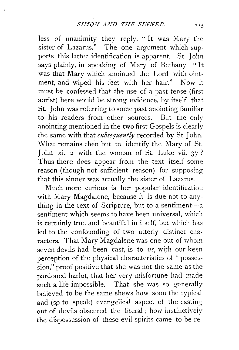less of unanimity they reply, " It was Mary the sister of Lazarus." The one argument which supports this latter identification is apparent. St. John says plainly, in speaking of Mary of Bethany, " It was that Mary which anointed the Lord with ointment, and wiped his feet with her hair." Now it must be confessed that the use of a past tense (first aorist) here would be strong evidence, by itself, that St. John was referring to some past anointing familiar to his readers from other sources. But the only anointing mentioned in the two first Gospels is clearly the same with that *subsequently* recorded by St. John. What remains then but to identify the Mary of St. John xi. 2 with the woman of St. Luke vii.  $37$ ? Thus there does appear from the text itself some reason (though not sufficient reason) for supposing that this sinner was actually the sister of Lazarus.

Much more curious is her popular identification with Mary Magdalene, because it is due not to anything in the text of Scripture, but to a sentiment $\frac{1}{2}$ . sentiment which seems to have been universal, which is certainly true and beautiful in itself, but which has led to the confounding of two utterly distinct characters. That Mary Magdalene was one out of whom seven devils had been cast, is to *us*, with our keen perception of the physical characteristics of " possession," proof positive that she was not the same as the pardoned harlot, that her very misfortune had made such a life impossible. That she was so generally believed to be the same shews how soon the typical and (so to speak) evangelical aspect of the casting out of devils obscured the literal; how instinctiveiy the dispossession of these evil spirits came to be re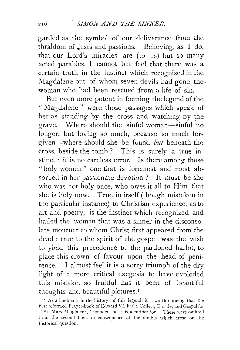garded as the symbol of our deliverance from the thraldom of Justs and passions. Believing, as I do, that our Lord's miracles are (to us) but so many acted parables, I cannot but feel that there was a certain truth in the instinct which recognized in the Magdalene out of whom seven devils had gone the woman who had been rescued from a life of sin.

But even more potent in forming the legend of the "Magdalene" were those passages which speak of her as standing by the cross and watching by the grave. Where should the sinful woman-sinful no longer, but loving so much, because so much forgiven—where should she be found  $but$  beneath the cross, beside the tomb ? This is surely a true instinct : it is no careless error. Is there among those "holy women" one that is foremost and most absorbed in her passionate devotion ? It must be she who was not holy once, who owes it all to Him that she is holy now. True in itself (though mistaken in the particular instance) to Christian experience, as to art and poetry, is the instinct which recognized and hailed the woman that was a sinner in the disconsolate mourner to whom Christ first appeared from the dead : true to the spirit of the gospel was the wish to yield this precedence to the pardoned harlot, to place this crown of favour upon the head of penitence. I almost feel it is a sorry triumph of the dry light of a more critical exegesis to have exploded this mistake, so fruitful has it been of beautiful thoughts and beautiful pictures. <sup>1</sup>

 $\sim$  As a landmark in the history of this legend, it is worth noticing that the first refermed Prayer-book of Edward VI. had a Collect, Epistle, and Gospel for " St. Mary Magdalene," founded on this identification. These were omitted from the second book in consequence of the doubts which arose on the historical question.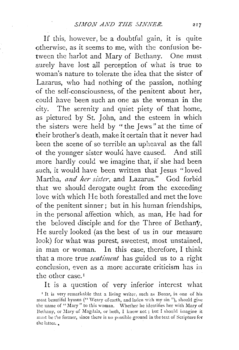If this, however, be a doubtful gain, it is quite otherwise, as it seems to me, with the confusion between the harlot and Mary of Bethany. One must surely have lost all perception of what is true to woman's nature to tolerate the idea that the sister of Lazarus, who had nothing of the passion, nothing of the self-consciousness, of the penitent about her, could have been such an one as the woman in the city. The serenity and quiet piety of that home, as pictured by St. John, and the esteem in which the sisters were held by " the Jews " at the time of their brother's death, make it certain that it never had been the scene of so terrible an upheaval as the fall of the younger sister would have caused. And still more hardly could we imagine that, if she had been such, it would have been written that Jesus "loved Martha, *and her sister,* and Lazarus." God forbid that we should derogate ought from the exceeding love with which He both forestalled and met the love of the penitent sinner; but in his human friendships, in the personal affection which, as man, He had for the beloved disciple and for the Three of Bethany, He surely looked (as the best of us in our measure look) for what was purest, sweetest, most unstained, in man or woman. In this case, therefore, I think that a more true *sentiment* has guided us to a right conclusion, even as a more accurate criticism has in the other case.<sup>1</sup>

It is a question of very inferior interest what

<sup>I</sup> It is very remarkable that a living writer, such as Bonar, in one of his most beautiful hymns (" Weary of earth, and laden with my sin"), should give the name of "Mary" to this woman. Whether he identifies her with Mary of Bethany, or Mary of Magdala, or both, I know not; but I should imagine it must be the former, since there is no possible ground in the text of Scripture for the latter.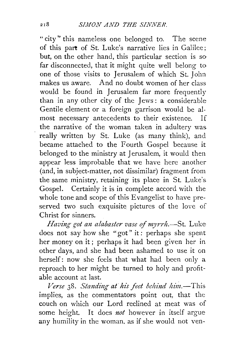"city" this nameless one belonged to. The scene of this part of St. Luke's narrative lies in Galilee; but, on the other hand, this particular section is so far disconnected, that it might quite well belong to one of those visits to Jerusalem of which St. John makes us aware. And no doubt women of her class would be found in Jerusalem far more frequently than in any other city of the Jews: a considerable Gentile element or a foreign garrison would be almost necessary antecedents to their existence. If the narrative of the woman taken in adultery was really written by St. Luke (as many think), and became attached to the Fourth Gospel because it belonged to the ministry at Jerusalem, it would then appear less improbable that we have here another (and, in subject-matter, not dissimilar) fragment from the same ministry, retaining its place in St. Luke's. Gospel. Certainly it is in complete accord with the whole tone and scope of this Evangelist to have preserved two such exquisite pictures of the love of Christ for sinners.

*Having got an alabaster vase of myrrh.*-St. Luke does not say how she "got" it: perhaps she spent her money on it ; perhaps it had been given her in other days, and she had been ashamed to use it on herself: now she feels that what had been only a reproach to her might be turned to holy and profitable account at last.

*Verse* 38. *Standing at his feet behind him.*-This implies, as the commentators point out, that the couch on which our Lord reclined at meat was of some height. It does *not* however in itself argue any humility in the woman, as if she would not ven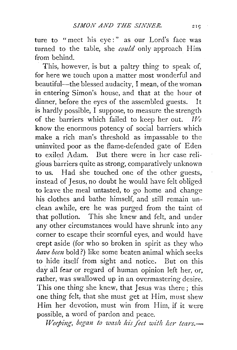ture to "meet his eye:" as our Lord's face was turned to the table, she *could* only approach Him from behind.

This, however, is but a paltry thing to speak of, for here we touch upon a matter most wonderful and beautiful-the blessed audacity, I mean, of the woman in entering Simon's house, and that at the hour ot dinner, before the eyes of the assembled guests. It is hardly possible, I suppose, to measure the strength of the barriers which failed to keep her out.  $W_e$ know the enormous potency of social barriers which make a rich man's threshold as impassable to the uninvited poor as the flame-defended gate of Eden to exiled Adam. But there were in her case religious barriers quite as strong, comparatively unknown to us. Had she touched one of the other guests, instead of Jesus, no doubt he would have felt obliged to leave the meal untasted, to go home and change his clothes and bathe himself, and still remain unclean awhile, ere he was purged from the taint of that pollution. This she knew and felt, and under any other circumstances would have shrunk into any corner to escape their scornful eyes, and would have crept aside (for who so broken in spirit as they who *have been* bold?) like some beaten animal which seeks to hide itself from sight and notice. But on this day all fear or regard of human opinion left her, or, rather, was swallowed up in an overmastering desire. This one thing she knew, that Jesus was there ; this one thing felt, that she must get at Him, must shew Him her devotion, must win from Him, if it were possible, a word of pardon and peace.

*Weeping, began to wash his feet with her tears.*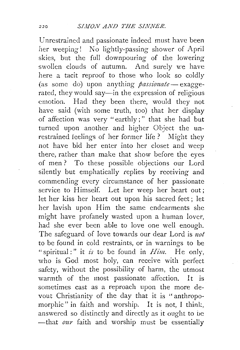Unrestrained and passionate indeed must have been her weeping! No lightly-passing shower of April skies, but the full downpouring of the lowering swollen clouds of autumn. And surely we have here a tacit reproof to those who look so coldly (as some do) upon anything *passionate*-exaggerated, they would say—in the expression of religious emotion. Had they been there, would they not have said (with some truth, too) that her display of affection was very "earthly;" that she had but turned upon another and higher Object the unrestrained feelings of her former life ? Might they not have bid her enter into her closet and weep there, rather than make that show before the eyes of men? To these possible objections our Lord silently but emphatically replies by receiving and commending every circumstance of her passionate service to Himself. Let her weep her heart out; let her kiss her heart out upon his sacred feet; let her lavish upon Him the same endearments she might have profanely wasted upon a human lover, had she ever been able to love one well enough. The safeguard of love towards our dear Lord is *not*  to be found in cold restraints, or in warnings to be "spiritual:" it *is* to be found in  $Him$ . He only, who is God most holy, can receive with perfect safety, without the possibility of harm, the utmost warmth of the most passionate affection. It is sometimes cast as a reproach upon the more devout Christianity of the day that it is "anthropomorphic" in faith and worship. It is not, I think. answered so distinctly and directly as it ought to be  $-\text{that}$  *our* faith and worship must be essentially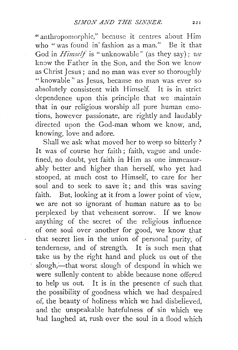"anthropomorphic," because it centres about Him who "was found in fashion as a man." Be it that God in *Himself* is "unknowable" (as they say); *we*  know the Father in the Son, and the Son we know as Christ Jesus; and no man was ever so thoroughly " knowable " as Jesus, because no man was ever so absolutely consistent with Himself. It is in strict dependence upon this principle that we maintain that in our religious worship all pure human emotions, however passionate, are rightly and laudably directed upon the God-man whom we know, and, knowing, love and adore.

Shall we ask what moved her to weep so bitterly? It was of course her faith; faith, vague and undefined, no doubt, yet faith in Him as one immeasurably better and higher than herself, who yet had stooped, at much cost to Himself, to care for her soul and to seek to save it; and this was saving faith. But, looking at it from a lower point of view, we are not so ignorant of human nature as to be perplexed by that vehement sorrow. If we know anything of the secret of the religious influence of one soui over another for good, we know that that secret lies in the union of personal purity, of tenderness, and of strength. It is such men that take us by the right hand and pluck us out of the slough,---that worst slough of despond in which we were sullenly content to abide because none offered to help us out. It is in the presence cf such that the possibility of goodness which we had despaired of, the beauty of holiness which we had disbelieved, and the unspeakable hatefulness of sin which we had laughed at, rush over the soul in a flood which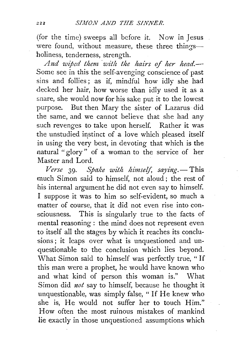(for the time) sweeps all before it. Now in Jesus were found, without measure, these three thingsholiness, tenderness, strength.

*And wiped them 'with the hairs of her head.--* Some see in this the self-avenging conscience of past sins and follies ; as if, mindful how idly she had decked her hair, how worse than idly used it as a snare, she would now for his sake put it to the lowest purpose. But then Mary the sister of Lazarus did the same, and we cannot believe that she had any such revenges to take upon herself. Rather it was the unstudied instinct of a love which pleased itself in using the very best, in devoting that which is the natural " glory" of a woman to the service of her Master and Lord.

*Verse* 39. *Spake with himself, saying.* - This much Simon said to himself, not aloud ; the rest of his internal argument he did not even say to himself. I suppose it was to him so self-evident, so much a matter of course, that it did not even rise into consciousness. This is singularly true to the facts of mental reasoning : the mind does not represent even to itself all the stages by which it reaches its conclusions; it leaps over what is unquestioned and unquestionable to the conclusion which lies beyond. What Simon said to himself was perfectly true, " If this man were a prophet, he would have known who and what kind of person this woman is." What Simon did *not* say to himself, because he thought it unquestionable, was simply false, "If He knew who she is, He would not suffer her to touch Him." How often the most ruinous mistakes of mankind lie exactly in those unquestioned assumptions which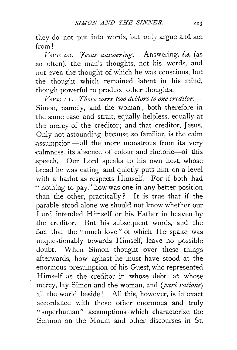they do not put into words, but only argue and act from!

*Verse* 40. *Hesus answering*. - Answering, *i.e.* (as so often), the man's thoughts, not his words, and not even the thought of which he was conscious, but the thought which remained latent in his mind, though powerful to produce other thoughts.

*Verse* 41. *There were two debtors to one creditor.-* Simon, namely, and the woman; both therefore in the same case and strait, equally helpless, equally at the mercy of the creditor; and that creditor, Jesus. Only not astounding because so familiar, is the calm .assumption-all the more monstrous from its very -calmness, its absence of colour and rhetoric-of this speech. Our Lord speaks to his own host, whose bread he was eating, and quietly puts him on a level with a harlot as respects Himself. For if both had "nothing to pay," how was one in any better position than the other, practically? It is true that if the parable stood alone we should not know whether our Lord intended Himself or his Father in heaven by the creditor. But his subsequent words, and the fact that the "much love" of which He spake was unquestionably towards Himself, leave no possible doubt. \Vhen Simon thought over these things .afterwards, how aghast he must have stood at the enormous presumption of his Guest, who represented Himself as the creditor in whose debt, at whose mercy, lay Simon and the woman, and *(pari ratione)*  all the world beside ! All this, however, is in exact accordance with those other enormous and truly "superhuman" assumptions ·which characterize the Sermon on the Mount and other discourses in St.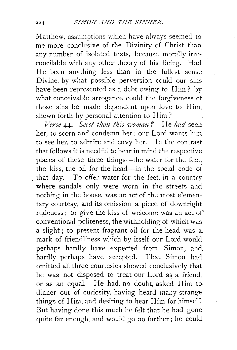Matthew, assumptions which have always seemed to me more conclusive of the Divinity of Christ than any number of isolated texts, because morally irreconcilable with any other theory of his Being. Had He been anything less than in the fullest sense Divine, by what possible perversion could our sins have been represented as a debt owing to Him? by what conceivable arrogance could the forgiveness of those sins be made dependent upon love to Him, shewn forth by personal attention to Him?

*Verse* 44. *Seest thou this woman* ?--He *had* seen her, to scorn and condemn her: our Lord wants him to see her, to admire and envy her. In the contrast that follows it is needful to bear in mind the respective places of these three things-the water for the feet, the kiss, the oil for the head-in the social code of that day. To offer water for the feet, in a country where sandals only were worn in the streets and nothing in the house, was an act of the most elementary courtesy, and its omission a piece of downright rudeness; to give the kiss of welcome was an act of coriventional politeness, the withholding of which was a slight ; to present fragrant oil for the head was a mark of friendliness which by itself our Lord would perhaps hardly have expected from Simon, and hardly perhaps have accepted. That Simon had omitted all three courtesies shewed conclusively that he was not disposed to treat our Lord as a friend, or as an equal. He had, no doubt, asked Him todinner out of curiosity, having heard many strange things of Him, and desiring to hear Him for himself. But having done this much he felt that he had gone quite far enough, and would go no further; he could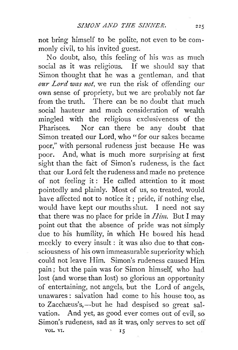not bring himself to be polite, not even to be commonly civil, to his invited guest.

No doubt, also, this feeling of his was as much social as it was religious. If we should say that Simon thought that he was a gentleman, and that *our Lord was not,* we run the risk of offending our own sense of propriety, but we are probably not far from the truth. There can be no doubt that much social hauteur and much consideration of wealth mingled with the religious exclusiveness of the Pharisees. Nor can there be any doubt that Simon treated our Lord, who "for our sakes became poor," with personal rudeness just because He was poor. And, what is much more surprising at first sight than the fact of Simon's rudeness, is the fact that our Lord felt the rudeness and made no pretence of not feeling it: He called attention to it most pointedly and plainly. Most of us, so treated, would have affected not to notice it ; pride, if nothing else, would have kept our mouths shut. I need not say that there was no place for pride in  $Him.$  But I may point out that the absence of pride was not simply due to his humility, in which He bowed his head meekly to every insult: it was also due to that consciousness of his own immeasurable superiority which could not leave Him. Simon's rudeness caused Him pain ; but the pain was for Simon himself, who had lost (and worse than lost) so glorious an opportunity of entertaining, not angels, but the Lord of angels, unawares: salvation had come to his house too, as to Zacchæus's,—but he had despised so great salvation. And yet, as good ever comes out of evil, so Simon's rudeness, sad as it was, only serves to set off VOL. VI. 15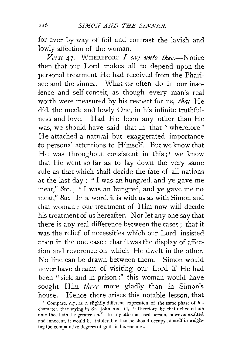for ever by way of foil and contrast the lavish and lowly affection of the woman.

 $$ then that our Lord makes all to depend upon the personal treatment He had received from the Pharisee and the sinner. What we often do in our insolence and self-conceit, as though every man's real worth were measured by his respect for us, *that* He did, the meek and lowly One, in his infinite truthfulness and love. Had He been any other than He was, we should have said that in that "wherefore" He attached a natural but exaggerated importance to personal attentions to Himself. But we know that He was throughout consistent in this;<sup>1</sup> we know that He went so far as to lay down the very same rule as that which shall decide the fate of all nations at the last day : " I was an hungred, and ye gave me meat," &c. ; " I was an hungred, and ye gave me no meat," &c. In a word, it is with us as with Simon and that woman ; our treatment of Him now will decide his treatment of us hereafter. Nor let any one say that there is any real difference between the cases ; that it was the relief of necessities which our Lord insisted upon in the one case ; that it was the display of affection and reverence on which. He dwelt in the other. No line can be drawn between them. Simon would never have dreamt of visiting our Lord if He had been " sick and in prison :" this woman would have sought Him *there* more gladly than in Simon's house. Hence there arises this notable lesson, that ' Compare, *e.g.,* as a slightly different expression of the same phase of his

character, that saying in St. John xix. II, "Therefore he that delivered me unto thee hath the greater sin." In any other accused person, however exalted and innocent, it would be intolerable that he should occupy himself in weighing the comparative degrees of guilt in his enemies.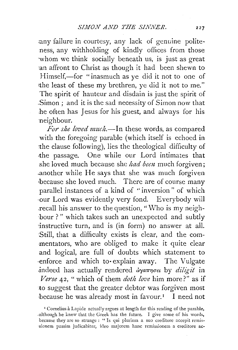any failure in courtesy, any lack of genuine politeness, any withholding of kindly offices from those whom we think socially beneath us, is just as great :an affront to Christ as though it had been shewn to Himself,—for "inasmuch as ye did it not to one of the least of these my brethren, ye did it not to me." The spirit of hauteur and disdain is just the spirit of .Simon ; and it is the sad necessity of Simon now that he often has Jesus for his guest, and always for his neighbour.

*For she loved much.-In* these words, as compared with the foregoing parable (which itself is echoed in the clause following), lies the theological difficulty of the passage. One while our Lord intimates that she loved much because she *had been* much forgiven; .another while He says that she was much forgiven •because she loved much. There are of course many parallel instances of a kind of "inversion" of which ·our Lord was evidently very fond. Everybody will .recall his answer to the question, "Who is my neigh- ·bour?" which takes such an unexpected and subtly instructive turn, and is (in form) no answer at all. ·Still, that a difficulty exists is clear, and the commentators, who are obliged to make it quite clear and logical, are full of doubts which statement to ·enforce and which to· explain away. The Vulgate indeed has actually rendered  $\partial \gamma a \pi \eta \sigma \epsilon \iota$  by  $\partial \Omega$  *diligit* in *Verse* 42, "which of them *doth love* him more?" as if .to suggest that the greater debtor was forgiven most because he was already most in favour.<sup>1</sup> I need not

<sup>&</sup>lt;sup>1</sup> Cornelius à Lapide actually argues at length for this reading of the parable, .although he knew that the Greek has the future. I give some of his words, because they are so strange : "Is qui plurium a suo creditore accepit remis--sionem passim judicabitnr, ideo majorem hanc remissionem a creditore ac-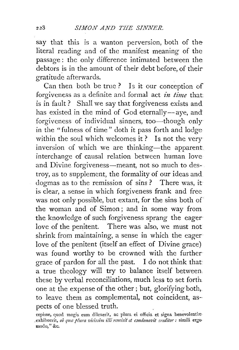say that this is a wanton perversion, both of the literal reading and of the manifest meaning of the passage: the only difference intimated between the debtors is in the amount of their debt before, of their gratitude afterwards.

Can then both be trnc? Is it our conception of forgiveness as a definite and formal act *in time* that is in fault ? Shall we say that forgiveness exists and has existed in the mind of God eternally-aye, and forgiveness of individual sinners, too-though only in the "fulness of time" doth it pass forth and lodge within the soul which welcomes it? Is not the very inversion of which we are thinking—the apparent. interchange of causal relation between human love and Divine forgiveness—meant, not so much to destroy, as to supplement, the formality of our ideas and dogmas as to the remission of sins? There was, it is clear, a sense in which forgiveness frank and free was not only possible, but extant, for the sins both of the woman and of Simon ; and in some way from the knowledge of such forgiveness sprang the eager· love of the penitent. There was also, we must not shrink from maintaining, a sense in which the eager love of the penitent (itself an effect of Divine grace) was found worthy to be crowned with the further grace of pardon for all the past. I do not think that a true theology will try to balance itself between these by verbal reconciliations, much less to set forth one at the expense of the other ; but, glorifying both, to leave them as complemental, not coincident, aspects of one blessed truth.

228

cepisse, quod magis eum dilexerit, ac plura ei officia et signa benevolentiæ exhibuerit, *ob qua plura vicissim illi remisit et condonavit creditor*: simili ergomodo," &c.